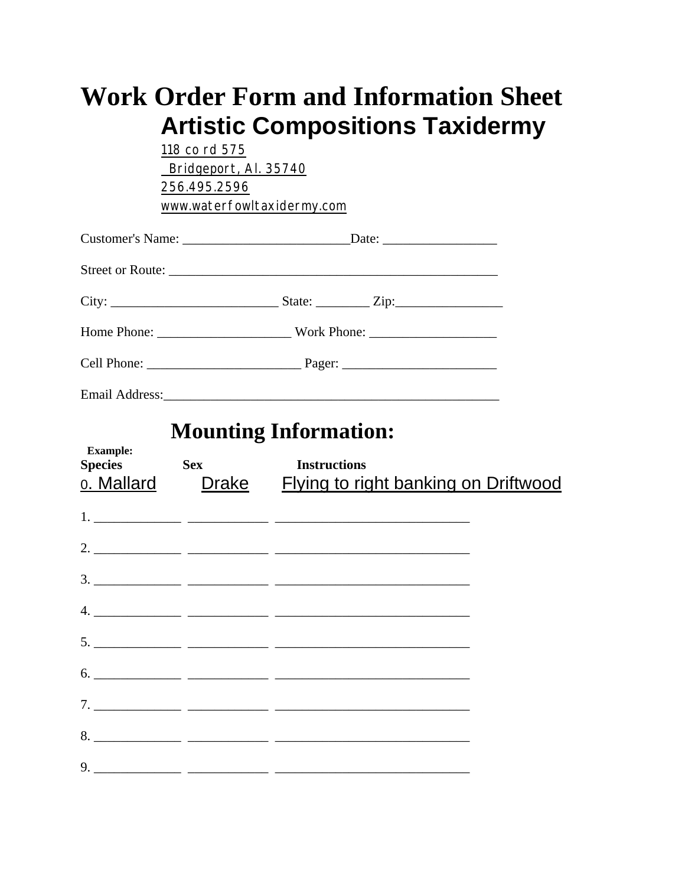|                                                        | <b>Artistic Compositions Taxidermy</b><br>118 co rd 575<br>Bridgeport, Al. 35740<br>256.495.2596<br>www.waterfowltaxidermy.com |                     | <b>Work Order Form and Information Sheet</b> |
|--------------------------------------------------------|--------------------------------------------------------------------------------------------------------------------------------|---------------------|----------------------------------------------|
|                                                        |                                                                                                                                |                     |                                              |
|                                                        |                                                                                                                                |                     |                                              |
|                                                        |                                                                                                                                |                     |                                              |
|                                                        |                                                                                                                                |                     |                                              |
|                                                        |                                                                                                                                |                     |                                              |
| <b>Example:</b><br><b>Species</b><br><u>o. Mallard</u> | <b>Mounting Information:</b><br><b>Sex</b><br><b>Drake</b>                                                                     | <b>Instructions</b> | <u>Flying to right banking on Driftwood</u>  |
|                                                        |                                                                                                                                |                     |                                              |
|                                                        |                                                                                                                                |                     |                                              |
|                                                        |                                                                                                                                |                     |                                              |
|                                                        |                                                                                                                                |                     |                                              |
|                                                        |                                                                                                                                |                     |                                              |
|                                                        |                                                                                                                                |                     |                                              |
|                                                        |                                                                                                                                |                     |                                              |
|                                                        |                                                                                                                                |                     |                                              |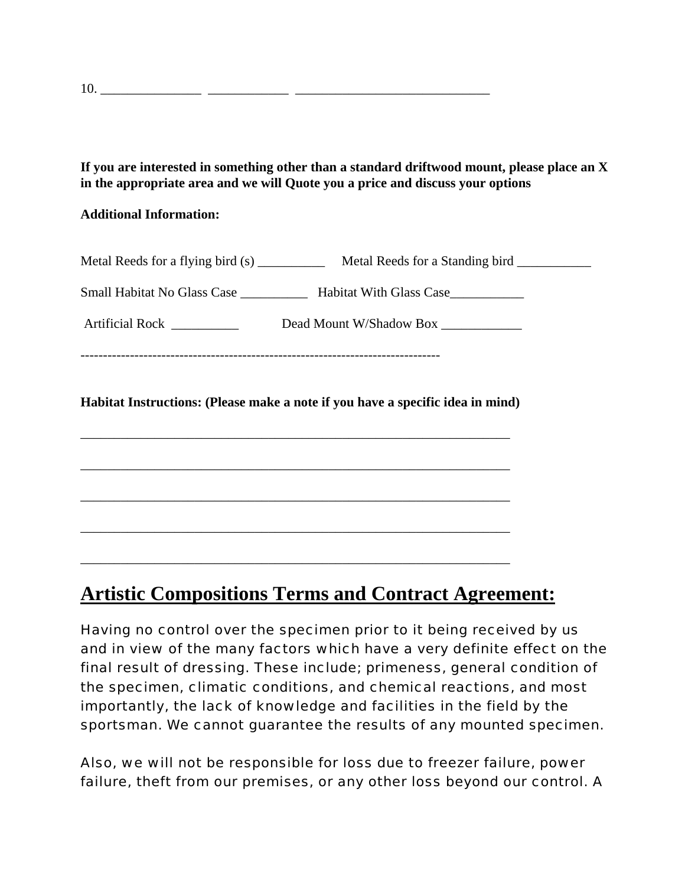**If you are interested in something other than a standard driftwood mount, please place an X in the appropriate area and we will Quote you a price and discuss your options**

## **Additional Information:**

| Metal Reeds for a flying bird (s) _____________ Metal Reeds for a Standing bird __________                            |
|-----------------------------------------------------------------------------------------------------------------------|
| Small Habitat No Glass Case _____________ Habitat With Glass Case_______________                                      |
| Artificial Rock ___________ Dead Mount W/Shadow Box __________                                                        |
|                                                                                                                       |
|                                                                                                                       |
| Habitat Instructions: (Please make a note if you have a specific idea in mind)                                        |
|                                                                                                                       |
|                                                                                                                       |
| <u> 1989 - Johann Harry Harry Harry Harry Harry Harry Harry Harry Harry Harry Harry Harry Harry Harry Harry Harry</u> |
| ,我们也不能在这里的时候,我们也不能在这里的时候,我们也不能会在这里的时候,我们也不能会在这里的时候,我们也不能会在这里的时候,我们也不能会在这里的时候,我们也不                                     |

## **Artistic Compositions Terms and Contract Agreement:**

Having no control over the specimen prior to it being received by us and in view of the many factors which have a very definite effect on the final result of dressing. These include; primeness, general condition of the specimen, climatic conditions, and chemical reactions, and most importantly, the lack of knowledge and facilities in the field by the sportsman. We cannot guarantee the results of any mounted specimen.

Also, we will not be responsible for loss due to freezer failure, power failure, theft from our premises, or any other loss beyond our control. A

10. \_\_\_\_\_\_\_\_\_\_\_\_\_\_\_ \_\_\_\_\_\_\_\_\_\_\_\_ \_\_\_\_\_\_\_\_\_\_\_\_\_\_\_\_\_\_\_\_\_\_\_\_\_\_\_\_\_